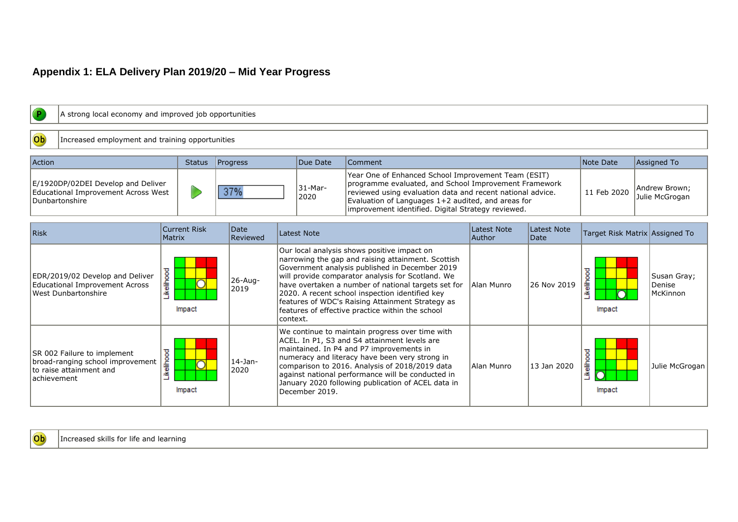## **Appendix 1: ELA Delivery Plan 2019/20 – Mid Year Progress**

| A strong local economy and improved job opportunities                                                       |                                      |                         |                 |                                                                                                                                                                                                                                                                                        |                                                                                                                                                                                                                                                                                                                                                                                                                            |                                 |                     |                      |                                   |
|-------------------------------------------------------------------------------------------------------------|--------------------------------------|-------------------------|-----------------|----------------------------------------------------------------------------------------------------------------------------------------------------------------------------------------------------------------------------------------------------------------------------------------|----------------------------------------------------------------------------------------------------------------------------------------------------------------------------------------------------------------------------------------------------------------------------------------------------------------------------------------------------------------------------------------------------------------------------|---------------------------------|---------------------|----------------------|-----------------------------------|
|                                                                                                             |                                      |                         |                 |                                                                                                                                                                                                                                                                                        |                                                                                                                                                                                                                                                                                                                                                                                                                            |                                 |                     |                      |                                   |
| $ $ Ob<br>Increased employment and training opportunities                                                   |                                      |                         |                 |                                                                                                                                                                                                                                                                                        |                                                                                                                                                                                                                                                                                                                                                                                                                            |                                 |                     |                      |                                   |
|                                                                                                             |                                      |                         |                 |                                                                                                                                                                                                                                                                                        |                                                                                                                                                                                                                                                                                                                                                                                                                            |                                 |                     |                      |                                   |
| Action                                                                                                      | <b>Status</b>                        | Progress                |                 | Due Date                                                                                                                                                                                                                                                                               | Comment                                                                                                                                                                                                                                                                                                                                                                                                                    |                                 |                     | Note Date            | Assigned To                       |
| E/1920DP/02DEI Develop and Deliver<br>Educational Improvement Across West<br>Dunbartonshire                 | D<br>37%                             |                         | 31-Mar-<br>2020 | Year One of Enhanced School Improvement Team (ESIT)<br>programme evaluated, and School Improvement Framework<br>reviewed using evaluation data and recent national advice.<br>Evaluation of Languages 1+2 audited, and areas for<br>improvement identified. Digital Strategy reviewed. | 11 Feb 2020                                                                                                                                                                                                                                                                                                                                                                                                                | Andrew Brown;<br>Julie McGrogan |                     |                      |                                   |
|                                                                                                             |                                      |                         |                 |                                                                                                                                                                                                                                                                                        |                                                                                                                                                                                                                                                                                                                                                                                                                            |                                 |                     |                      |                                   |
| Risk                                                                                                        | <b>Current Risk</b><br><b>Matrix</b> | <b>Date</b><br>Reviewed |                 | Latest Note                                                                                                                                                                                                                                                                            |                                                                                                                                                                                                                                                                                                                                                                                                                            | Latest Note<br>Author           | Latest Note<br>Date |                      | Target Risk Matrix Assigned To    |
| EDR/2019/02 Develop and Deliver<br><b>Educational Improvement Across</b><br>West Dunbartonshire             | Likelihood<br>Impact                 | $26 - Aug -$<br>2019    | context.        |                                                                                                                                                                                                                                                                                        | Our local analysis shows positive impact on<br>narrowing the gap and raising attainment. Scottish<br>Government analysis published in December 2019<br>will provide comparator analysis for Scotland. We<br>have overtaken a number of national targets set for<br>2020. A recent school inspection identified key<br>features of WDC's Raising Attainment Strategy as<br>features of effective practice within the school | Alan Munro                      | 26 Nov 2019         | Likelihood<br>Impact | Susan Gray;<br>Denise<br>McKinnon |
| SR 002 Failure to implement<br>broad-ranging school improvement<br>Ito raise attainment and<br>lachievement | Likelihood<br>Impact                 | $14$ -Jan-<br>2020      |                 | December 2019.                                                                                                                                                                                                                                                                         | We continue to maintain progress over time with<br>ACEL. In P1, S3 and S4 attainment levels are<br>maintained. In P4 and P7 improvements in<br>numeracy and literacy have been very strong in<br>comparison to 2016. Analysis of 2018/2019 data<br>against national performance will be conducted in<br>January 2020 following publication of ACEL data in                                                                 | Alan Munro                      | 13 Jan 2020         | Likelihood<br>Impact | Julie McGrogan                    |

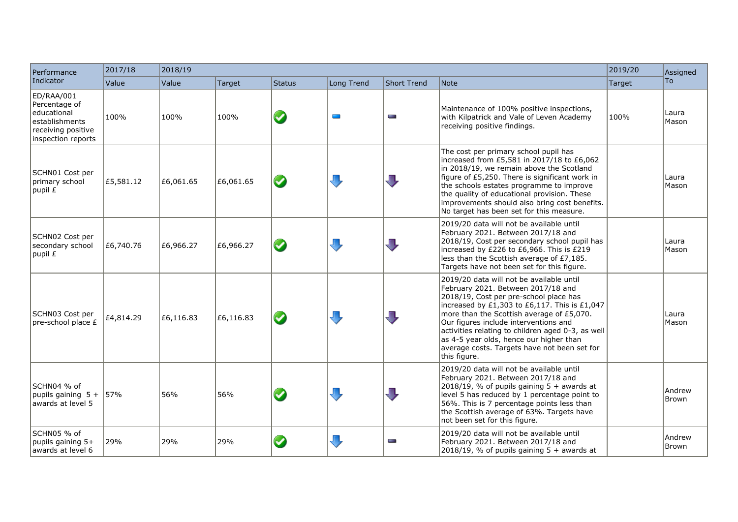| Performance                                                                                              | 2017/18   | 2018/19   |           |                       |                         |                         |                                                                                                                                                                                                                                                                                                                                                                                                                                 | 2019/20 | Assigned        |
|----------------------------------------------------------------------------------------------------------|-----------|-----------|-----------|-----------------------|-------------------------|-------------------------|---------------------------------------------------------------------------------------------------------------------------------------------------------------------------------------------------------------------------------------------------------------------------------------------------------------------------------------------------------------------------------------------------------------------------------|---------|-----------------|
| Indicator                                                                                                | Value     | Value     | Target    | <b>Status</b>         | Long Trend              | <b>Short Trend</b>      | Note                                                                                                                                                                                                                                                                                                                                                                                                                            | Target  | To              |
| ED/RAA/001<br>Percentage of<br>educational<br>establishments<br>receiving positive<br>inspection reports | 100%      | 100%      | 100%      | $\blacklozenge$       | $\mathcal{L}$           | m.                      | Maintenance of 100% positive inspections,<br>with Kilpatrick and Vale of Leven Academy<br>receiving positive findings.                                                                                                                                                                                                                                                                                                          | 100%    | Laura<br>Mason  |
| SCHN01 Cost per<br>primary school<br>$ $ pupil $E$                                                       | £5,581.12 | £6,061.65 | £6,061.65 | $\boldsymbol{\omega}$ | $\overline{\mathbb{U}}$ | $\overline{\mathbb{L}}$ | The cost per primary school pupil has<br>increased from £5,581 in 2017/18 to £6,062<br>in 2018/19, we remain above the Scotland<br>figure of £5,250. There is significant work in<br>the schools estates programme to improve<br>the quality of educational provision. These<br>improvements should also bring cost benefits.<br>No target has been set for this measure.                                                       |         | Laura<br>Mason  |
| SCHN02 Cost per<br>secondary school<br>$ $ pupil £                                                       | £6,740.76 | £6,966.27 | £6,966.27 | $\bullet$             | $\overline{\mathbb{L}}$ | $\overline{\mathbb{L}}$ | 2019/20 data will not be available until<br>February 2021. Between 2017/18 and<br>2018/19, Cost per secondary school pupil has<br>increased by £226 to £6,966. This is £219<br>less than the Scottish average of £7,185.<br>Targets have not been set for this figure.                                                                                                                                                          |         | Laura<br>Mason  |
| SCHN03 Cost per<br>pre-school place £                                                                    | £4,814.29 | £6,116.83 | £6,116.83 | $\bullet$             | J,                      | $\overline{\mathbf{u}}$ | 2019/20 data will not be available until<br>February 2021. Between 2017/18 and<br>2018/19, Cost per pre-school place has<br>increased by £1,303 to £6,117. This is £1,047<br>more than the Scottish average of £5,070.<br>Our figures include interventions and<br>activities relating to children aged 0-3, as well<br>as 4-5 year olds, hence our higher than<br>average costs. Targets have not been set for<br>this figure. |         | Laura<br>Mason  |
| SCHN04 % of<br>  pupils gaining $5 +$ 57%<br>awards at level 5                                           |           | 56%       | 56%       |                       | $\overline{\mathbb{L}}$ | $\overline{\mathbf{u}}$ | 2019/20 data will not be available until<br>February 2021. Between 2017/18 and<br>$\left  \frac{2018}{19} \right $ , % of pupils gaining 5 + awards at<br>level 5 has reduced by 1 percentage point to<br>56%. This is 7 percentage points less than<br>the Scottish average of 63%. Targets have<br>not been set for this figure.                                                                                              |         | Andrew<br>Brown |
| SCHN05 % of<br>pupils gaining 5+<br>awards at level 6                                                    | 29%       | 29%       | 29%       |                       | $\overline{\mathbf{u}}$ | m.                      | 2019/20 data will not be available until<br>February 2021. Between 2017/18 and<br>$2018/19$ , % of pupils gaining 5 + awards at                                                                                                                                                                                                                                                                                                 |         | Andrew<br>Brown |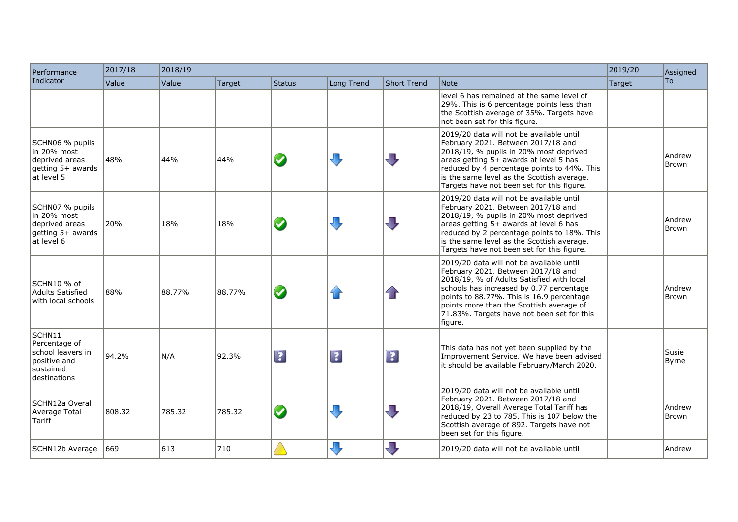| Performance                                                                                | 2017/18 | 2018/19 |        |                 |             |                         |                                                                                                                                                                                                                                                                                                                           |        | Assigned               |
|--------------------------------------------------------------------------------------------|---------|---------|--------|-----------------|-------------|-------------------------|---------------------------------------------------------------------------------------------------------------------------------------------------------------------------------------------------------------------------------------------------------------------------------------------------------------------------|--------|------------------------|
| Indicator                                                                                  | Value   | Value   | Target | <b>Status</b>   | Long Trend  | <b>Short Trend</b>      | Note                                                                                                                                                                                                                                                                                                                      | Target | To                     |
|                                                                                            |         |         |        |                 |             |                         | level 6 has remained at the same level of<br>29%. This is 6 percentage points less than<br>the Scottish average of 35%. Targets have<br>not been set for this figure.                                                                                                                                                     |        |                        |
| SCHN06 % pupils<br>in 20% most<br>deprived areas<br>getting 5+ awards<br>at level 5        | 48%     | 44%     | 44%    | $\blacklozenge$ |             | 几                       | 2019/20 data will not be available until<br>February 2021. Between 2017/18 and<br>2018/19, % pupils in 20% most deprived<br>areas getting 5+ awards at level 5 has<br>reduced by 4 percentage points to 44%. This<br>is the same level as the Scottish average.<br>Targets have not been set for this figure.             |        | Andrew<br><b>Brown</b> |
| SCHN07 % pupils<br>lin 20% most<br>deprived areas<br>getting 5+ awards<br>lat Ievel 6      | 20%     | 18%     | 18%    | $\bm{\omega}$   |             | $\overline{\mathbb{L}}$ | 2019/20 data will not be available until<br>February 2021. Between 2017/18 and<br>2018/19, % pupils in 20% most deprived<br>areas getting 5+ awards at level 6 has<br>reduced by 2 percentage points to 18%. This<br>is the same level as the Scottish average.<br>Targets have not been set for this figure.             |        | Andrew<br><b>Brown</b> |
| SCHN10 % of<br>Adults Satisfied<br>with local schools                                      | 88%     | 88.77%  | 88.77% | $\bm{\omega}$   |             | 1F                      | 2019/20 data will not be available until<br>February 2021. Between 2017/18 and<br>2018/19, % of Adults Satisfied with local<br>schools has increased by 0.77 percentage<br>points to 88.77%. This is 16.9 percentage<br>points more than the Scottish average of<br>71.83%. Targets have not been set for this<br>figure. |        | Andrew<br>Brown        |
| SCHN11<br>Percentage of<br>school leavers in<br>positive and<br>sustained<br>ldestinations | 94.2%   | N/A     | 92.3%  | $\boxed{2}$     | $\boxed{?}$ | $\boxed{?}$             | This data has not yet been supplied by the<br>Improvement Service. We have been advised<br>it should be available February/March 2020.                                                                                                                                                                                    |        | Susie<br>Byrne         |
| SCHN12a Overall<br>Average Total<br>Tariff                                                 | 808.32  | 785.32  | 785.32 | $\bm{\omega}$   |             | $\overline{\mathbb{U}}$ | 2019/20 data will not be available until<br>February 2021. Between 2017/18 and<br>2018/19, Overall Average Total Tariff has<br>reduced by 23 to 785. This is 107 below the<br>Scottish average of 892. Targets have not<br>been set for this figure.                                                                      |        | Andrew<br>Brown        |
| SCHN12b Average                                                                            | 669     | 613     | 710    |                 | Л,          | $\overline{\mathbb{L}}$ | 2019/20 data will not be available until                                                                                                                                                                                                                                                                                  |        | Andrew                 |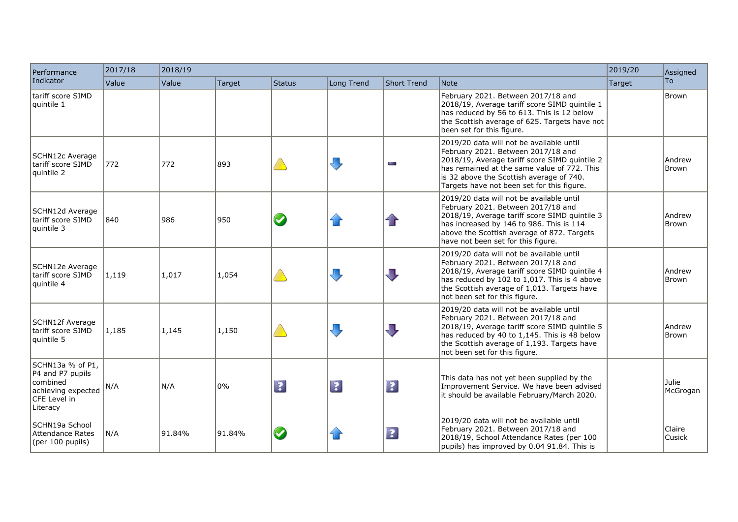| Performance                                                                                        | 2017/18 | 2018/19 |               |                         |                         |                         |                                                                                                                                                                                                                                                                          | 2019/20 | Assigned          |
|----------------------------------------------------------------------------------------------------|---------|---------|---------------|-------------------------|-------------------------|-------------------------|--------------------------------------------------------------------------------------------------------------------------------------------------------------------------------------------------------------------------------------------------------------------------|---------|-------------------|
| Indicator                                                                                          | Value   | Value   | <b>Target</b> | <b>Status</b>           | Long Trend              | Short Trend             | Note                                                                                                                                                                                                                                                                     | Target  | To                |
| tariff score SIMD<br>auintile 1                                                                    |         |         |               |                         |                         |                         | February 2021. Between 2017/18 and<br>2018/19, Average tariff score SIMD quintile 1<br>has reduced by 56 to 613. This is 12 below<br>the Scottish average of 625. Targets have not<br>been set for this figure.                                                          |         | Brown             |
| SCHN12c Average<br>Itariff score SIMD<br>quintile 2                                                | 772     | 772     | 893           |                         | $\overline{\mathbb{L}}$ | e.                      | 2019/20 data will not be available until<br>February 2021. Between 2017/18 and<br>2018/19, Average tariff score SIMD quintile 2<br>has remained at the same value of 772. This<br>is 32 above the Scottish average of 740.<br>Targets have not been set for this figure. |         | Andrew<br>Brown   |
| SCHN12d Average<br>Itariff score SIMD<br>quintile 3                                                | 840     | 986     | 950           |                         | 11                      | $\bf{f}$                | 2019/20 data will not be available until<br>February 2021. Between 2017/18 and<br>2018/19, Average tariff score SIMD quintile 3<br>has increased by 146 to 986. This is 114<br>above the Scottish average of 872. Targets<br>have not been set for this figure.          |         | Andrew<br>Brown   |
| SCHN12e Average<br>tariff score SIMD<br>quintile 4                                                 | 1,119   | 1,017   | 1,054         |                         | $\overline{\mathbf{u}}$ | $\sqrt{2}$              | 2019/20 data will not be available until<br>February 2021. Between 2017/18 and<br>2018/19, Average tariff score SIMD quintile 4<br>has reduced by 102 to 1,017. This is 4 above<br>the Scottish average of 1,013. Targets have<br>not been set for this figure.          |         | Andrew<br>Brown   |
| SCHN12f Average<br>tariff score SIMD<br>quintile 5                                                 | 1,185   | 1,145   | 1,150         |                         | $\Box$                  | $\overline{\mathbb{J}}$ | 2019/20 data will not be available until<br>February 2021. Between 2017/18 and<br>2018/19, Average tariff score SIMD quintile 5<br>has reduced by 40 to 1,145. This is 48 below<br>the Scottish average of 1,193. Targets have<br>not been set for this figure.          |         | Andrew<br>Brown   |
| SCHN13a % of P1,<br>P4 and P7 pupils<br>combined<br>achieving expected<br>CFE Level in<br>Literacy | N/A     | N/A     | 0%            | $\overline{\mathbf{3}}$ | $\boxed{?}$             | $\boxed{?}$             | This data has not yet been supplied by the<br>Improvement Service. We have been advised<br>it should be available February/March 2020.                                                                                                                                   |         | Julie<br>McGrogan |
| SCHN19a School<br>Attendance Rates<br>(per 100 pupils)                                             | N/A     | 91.84%  | 91.84%        | $\blacklozenge$         | 1 F                     | $\boxed{?}$             | 2019/20 data will not be available until<br>February 2021. Between 2017/18 and<br>2018/19, School Attendance Rates (per 100<br>pupils) has improved by 0.04 91.84. This is                                                                                               |         | Claire<br>Cusick  |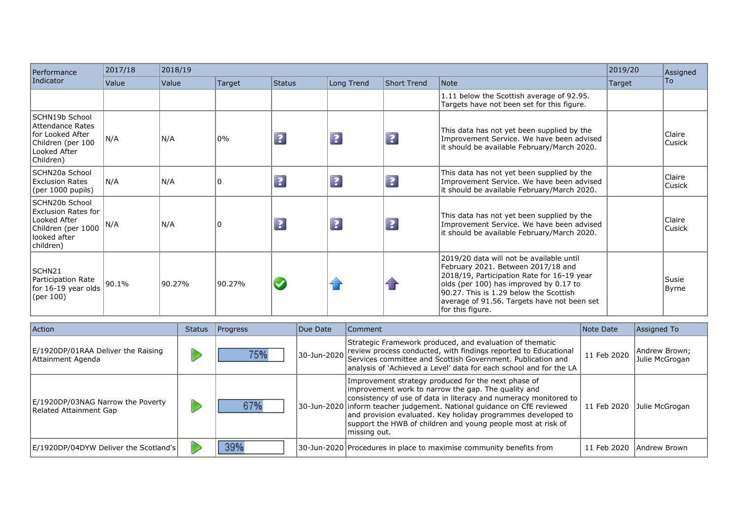| Performance                                                                                                     | 2017/18 | 2018/19 |          |             |             |                    |                                                                                                                                                                                                                                                                                     | 2019/20 | Assigned                |
|-----------------------------------------------------------------------------------------------------------------|---------|---------|----------|-------------|-------------|--------------------|-------------------------------------------------------------------------------------------------------------------------------------------------------------------------------------------------------------------------------------------------------------------------------------|---------|-------------------------|
| Indicator                                                                                                       | Value   | Value   | Target   | Status      | Long Trend  | <b>Short Trend</b> | Note                                                                                                                                                                                                                                                                                | Target  | To                      |
|                                                                                                                 |         |         |          |             |             |                    | 1.11 below the Scottish average of 92.95.<br>Targets have not been set for this figure.                                                                                                                                                                                             |         |                         |
| SCHN19b School<br>Attendance Rates<br>for Looked After<br>Children (per 100<br>Looked After<br>Children)        | N/A     | N/A     | 0%       | $\boxed{?}$ | $\boxed{?}$ | $\boxed{?}$        | This data has not yet been supplied by the<br>Improvement Service. We have been advised<br>lit should be available February/March 2020.                                                                                                                                             |         | Claire<br><b>Cusick</b> |
| SCHN20a School<br>Exclusion Rates<br>(per 1000 pupils)                                                          | N/A     | N/A     | $\Omega$ | $\boxed{?}$ | $\boxed{2}$ | $\boxed{2}$        | This data has not yet been supplied by the<br>Improvement Service. We have been advised<br>it should be available February/March 2020.                                                                                                                                              |         | Claire<br> Cusick       |
| SCHN20b School<br><b>Exclusion Rates for</b><br>Looked After<br>Children (per 1000<br>looked after<br>children) | N/A     | N/A     | 0        | $\boxed{?}$ | $\boxed{?}$ | $\boxed{2}$        | This data has not yet been supplied by the<br>Improvement Service. We have been advised<br>lit should be available February/March 2020.                                                                                                                                             |         | Claire<br><b>Cusick</b> |
| SCHN21<br>Participation Rate<br>for 16-19 year olds<br>(per 100)                                                | 90.1%   | 90.27%  | 90.27%   |             | <b>Trip</b> |                    | 2019/20 data will not be available until<br>February 2021. Between 2017/18 and<br>2018/19, Participation Rate for 16-19 year<br>olds (per 100) has improved by 0.17 to<br>90.27. This is 1.29 below the Scottish<br>average of 91.56. Targets have not been set<br>for this figure. |         | Susie<br>Byrne          |

| <b>Action</b>                                               | <b>Status</b> | <b>Progress</b> | Due Date | <b>Comment</b>                                                                                                                                                                                                                                                                                                                                                                                            | Note Date   | Assigned To                     |
|-------------------------------------------------------------|---------------|-----------------|----------|-----------------------------------------------------------------------------------------------------------------------------------------------------------------------------------------------------------------------------------------------------------------------------------------------------------------------------------------------------------------------------------------------------------|-------------|---------------------------------|
| E/1920DP/01RAA Deliver the Raising<br>Attainment Agenda     |               | 75%             |          | Strategic Framework produced, and evaluation of thematic<br>30-Jun-2020 review process conducted, with findings reported to Educational 30-Jun-2020 Services committee and Scottish Government. Publication and<br>analysis of `Achieved a Level' data for each school and for the LA                                                                                                                     | 11 Feb 2020 | Andrew Brown;<br>Julie McGrogan |
| E/1920DP/03NAG Narrow the Poverty<br>Related Attainment Gap |               | 67%             |          | Improvement strategy produced for the next phase of<br>improvement work to narrow the gap. The quality and<br>consistency of use of data in literacy and numeracy monitored to<br>30-Jun-2020 inform teacher judgement. National guidance on CfE reviewed<br>and provision evaluated. Key holiday programmes developed to<br>support the HWB of children and young people most at risk of<br>missing out. | 11 Feb 2020 | Julie McGrogan                  |
| E/1920DP/04DYW Deliver the Scotland's                       |               | 39%             |          | 30-Jun-2020 Procedures in place to maximise community benefits from                                                                                                                                                                                                                                                                                                                                       | 11 Feb 2020 | Andrew Brown                    |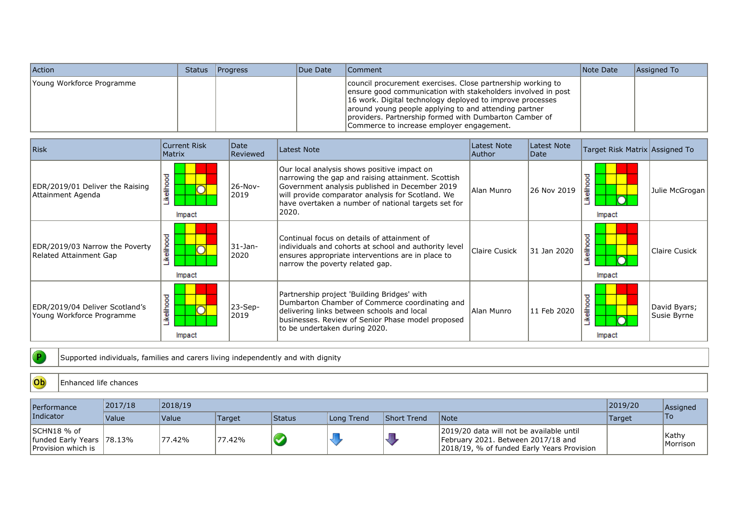| <b>Action</b>             | Status | Progress | Due Date | Comment                                                                                                                                                                                                                                                                                                                                                  | Note Date | Assigned To |
|---------------------------|--------|----------|----------|----------------------------------------------------------------------------------------------------------------------------------------------------------------------------------------------------------------------------------------------------------------------------------------------------------------------------------------------------------|-----------|-------------|
| Young Workforce Programme |        |          |          | council procurement exercises. Close partnership working to<br>ensure good communication with stakeholders involved in post<br>16 work. Digital technology deployed to improve processes<br>around young people applying to and attending partner<br>providers. Partnership formed with Dumbarton Camber of<br>Commerce to increase employer engagement. |           |             |

| Risk                                                        | <b>Current Risk</b><br>Matrix | Date<br>Reviewed | Latest Note                                                                                                                                                                                                                                                              | Latest Note<br>Author | Latest Note<br> Date | Target Risk Matrix Assigned To |                             |
|-------------------------------------------------------------|-------------------------------|------------------|--------------------------------------------------------------------------------------------------------------------------------------------------------------------------------------------------------------------------------------------------------------------------|-----------------------|----------------------|--------------------------------|-----------------------------|
| EDR/2019/01 Deliver the Raising<br>Attainment Agenda        | ikelihood<br>Impact           | 26-Nov-<br>2019  | Our local analysis shows positive impact on<br>narrowing the gap and raising attainment. Scottish<br>Government analysis published in December 2019<br>will provide comparator analysis for Scotland. We<br>have overtaken a number of national targets set for<br>2020. | Alan Munro            | 26 Nov 2019          | <u>eiho</u><br>Impact          | Julie McGrogan              |
| EDR/2019/03 Narrow the Poverty<br>Related Attainment Gap    | ikelihood<br>Impact           | 31-Jan-<br>2020  | Continual focus on details of attainment of<br>individuals and cohorts at school and authority level<br>ensures appropriate interventions are in place to<br>narrow the poverty related gap.                                                                             | <b>Claire Cusick</b>  | 31 Jan 2020          | $rac{5}{6}$<br>Impact          | Claire Cusick               |
| EDR/2019/04 Deliver Scotland's<br>Young Workforce Programme | Likelihood<br>Impact          | 23-Sep-<br>2019  | Partnership project 'Building Bridges' with<br>Dumbarton Chamber of Commerce coordinating and<br>delivering links between schools and local<br>businesses. Review of Senior Phase model proposed<br>to be undertaken during 2020.                                        | Alan Munro            | 11 Feb 2020          | elihood<br>Impact              | David Byars;<br>Susie Byrne |

Supported individuals, families and carers living independently and with dignity

## Ob Enhanced life chances

 $\bullet$ 

| <b>Performance</b>                                              | 2017/18             | 2018/19             |        |               |            |                    | 2019/20                                                                                                                      | Assigned |                    |
|-----------------------------------------------------------------|---------------------|---------------------|--------|---------------|------------|--------------------|------------------------------------------------------------------------------------------------------------------------------|----------|--------------------|
| Indicator                                                       | <i><b>Value</b></i> | <i><b>Value</b></i> | Target | <b>Status</b> | Long Trend | <b>Short Trend</b> | <i>Note</i>                                                                                                                  | Target   | ∣To                |
| ISCHN18 % of<br>funded Early Years 78.13%<br>Provision which is |                     | <sup>1</sup> 77.42% | 77.42% | <b>V</b>      |            |                    | 2019/20 data will not be available until<br>February 2021. Between 2017/18 and<br>2018/19, % of funded Early Years Provision |          | Kathy<br> Morrison |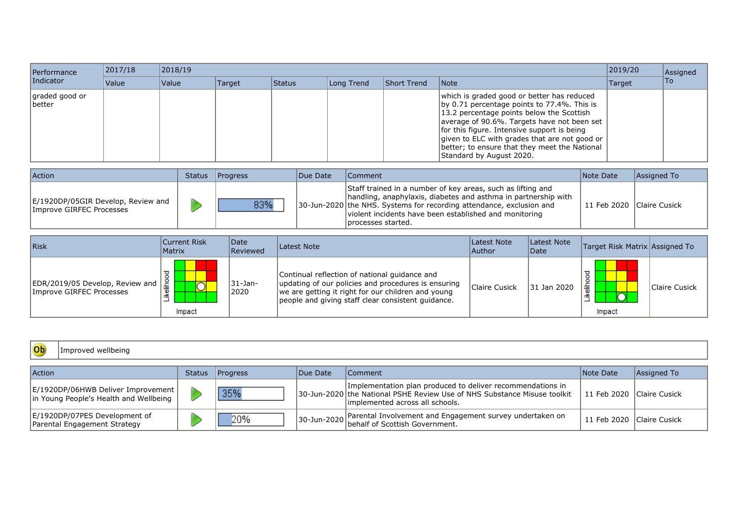| Performance                      | 2017/18 | 2018/19      |        |        |            |             |                                                                                                                                                                                                                                                                                                                                                                        |        |      |  |  |
|----------------------------------|---------|--------------|--------|--------|------------|-------------|------------------------------------------------------------------------------------------------------------------------------------------------------------------------------------------------------------------------------------------------------------------------------------------------------------------------------------------------------------------------|--------|------|--|--|
| Indicator                        | Value   | <b>Value</b> | Target | Status | Long Trend | Short Trend | <b>Note</b>                                                                                                                                                                                                                                                                                                                                                            | Target | lTo. |  |  |
| graded good or<br><b>Ibetter</b> |         |              |        |        |            |             | which is graded good or better has reduced<br>by 0.71 percentage points to $77.4\%$ . This is<br>13.2 percentage points below the Scottish<br>average of 90.6%. Targets have not been set<br>for this figure. Intensive support is being<br>given to ELC with grades that are not good or<br>better; to ensure that they meet the National<br>Standard by August 2020. |        |      |  |  |

| Action                                                         | <b>Status</b> | <b>Progress</b> | Due Date | Comment                                                                                                                                                                                                                                                                                   | Note Date                 | Assigned To |
|----------------------------------------------------------------|---------------|-----------------|----------|-------------------------------------------------------------------------------------------------------------------------------------------------------------------------------------------------------------------------------------------------------------------------------------------|---------------------------|-------------|
| E/1920DP/05GIR Develop, Review and<br>Improve GIRFEC Processes |               | 83%             |          | Staff trained in a number of key areas, such as lifting and<br>handling, anaphylaxis, diabetes and asthma in partnership with<br>30-Jun-2020   the NHS. Systems for recording attendance, exclusion and<br>violent incidents have been established and monitoring<br>I processes started. | 11 Feb 2020 Claire Cusick |             |

| Risk                                                        | Current Risk<br>Matrix | <i><b>Date</b></i><br>Reviewed | Latest Note                                                                                                                                                                                                      | Latest Note<br> Author | Latest Note<br>Date | Target Risk Matrix Assigned To |               |
|-------------------------------------------------------------|------------------------|--------------------------------|------------------------------------------------------------------------------------------------------------------------------------------------------------------------------------------------------------------|------------------------|---------------------|--------------------------------|---------------|
| EDR/2019/05 Develop, Review and<br>Improve GIRFEC Processes | Impact                 | 31-Jan-<br>2020                | Continual reflection of national guidance and<br>updating of our policies and procedures is ensuring<br>we are getting it right for our children and young<br>people and giving staff clear consistent guidance. | Claire Cusick          | 31 Jan 2020         | 章<br>Impact                    | Claire Cusick |

| Ob<br>Improved wellbeing                                                       |        |                 |                  |                                                                                                                                                                           |                           |             |  |  |  |  |  |  |  |
|--------------------------------------------------------------------------------|--------|-----------------|------------------|---------------------------------------------------------------------------------------------------------------------------------------------------------------------------|---------------------------|-------------|--|--|--|--|--|--|--|
| <b>Action</b>                                                                  | Status | <b>Progress</b> | <b>IDue Date</b> | Comment                                                                                                                                                                   | Note Date                 | Assigned To |  |  |  |  |  |  |  |
| E/1920DP/06HWB Deliver Improvement  <br>in Young People's Health and Wellbeing |        | 35%             |                  | Implementation plan produced to deliver recommendations in<br>30-Jun-2020 the National PSHE Review Use of NHS Substance Misuse toolkit<br>implemented across all schools. | 11 Feb 2020 Claire Cusick |             |  |  |  |  |  |  |  |
| E/1920DP/07PES Development of<br>Parental Engagement Strategy                  |        | 20%             |                  | 30-Jun-2020 Parental Involvement and Engagement survey undertaken on<br>30-Jun-2020 behalf of Scottish Government.                                                        | 11 Feb 2020 Claire Cusick |             |  |  |  |  |  |  |  |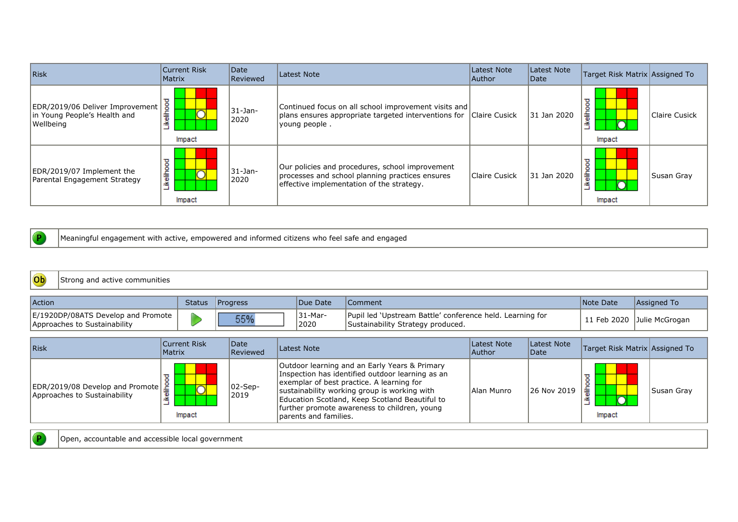| Risk                                                                         | Current Risk<br>Matrix | Date<br>Reviewed    | Latest Note                                                                                                                                     | Latest Note<br> Author | Latest Note<br> Date | Target Risk Matrix Assigned To |               |
|------------------------------------------------------------------------------|------------------------|---------------------|-------------------------------------------------------------------------------------------------------------------------------------------------|------------------------|----------------------|--------------------------------|---------------|
| EDR/2019/06 Deliver Improvement<br>in Young People's Health and<br>Wellbeing | ikelihood<br>Impact    | $31 - Jan-$<br>2020 | Continued focus on all school improvement visits and<br>plans ensures appropriate targeted interventions for Claire Cusick<br>young people.     |                        | 31 Jan 2020          | ᠊ᠣ<br>흫<br>≚<br>Impact         | Claire Cusick |
| EDR/2019/07 Implement the<br>Parental Engagement Strategy                    | ikelihood<br>Impact    | 31-Jan-<br>2020     | Our policies and procedures, school improvement<br>processes and school planning practices ensures<br>effective implementation of the strategy. | Claire Cusick          | 31 Jan 2020          | ᠊ᡓ<br>틂<br>Impact              | Susan Gray    |

 $\overline{P}$ 

 $\overline{P}$ 

Meaningful engagement with active, empowered and informed citizens who feel safe and engaged

| $ $ Ob<br>Strong and active communities                            |  |                 |                 |                                                                                                |           |                            |  |  |  |  |  |  |
|--------------------------------------------------------------------|--|-----------------|-----------------|------------------------------------------------------------------------------------------------|-----------|----------------------------|--|--|--|--|--|--|
| <b>Action</b>                                                      |  | Status Progress | Due Date        | Comment                                                                                        | Note Date | Assigned To                |  |  |  |  |  |  |
| E/1920DP/08ATS Develop and Promote<br>Approaches to Sustainability |  | 55%             | 31-Mar-<br>2020 | Pupil led 'Upstream Battle' conference held. Learning for<br>Sustainability Strategy produced. |           | 11 Feb 2020 Julie McGrogan |  |  |  |  |  |  |

| Risk                                                                                    | <b>Current Risk</b><br>Matrix | <i><b>Date</b></i><br>Reviewed | Latest Note                                                                                                                                                                                                                                                                                                                | Latest Note<br>Author | Latest Note<br>Date | Target Risk Matrix Assigned To |            |
|-----------------------------------------------------------------------------------------|-------------------------------|--------------------------------|----------------------------------------------------------------------------------------------------------------------------------------------------------------------------------------------------------------------------------------------------------------------------------------------------------------------------|-----------------------|---------------------|--------------------------------|------------|
| EDR/2019/08 Develop and Promote $\frac{2}{\frac{2}{3}}$<br>Approaches to Sustainability | $\bar{}$<br>Impact            | $ 02-Sep-$<br>2019             | Outdoor learning and an Early Years & Primary<br>Inspection has identified outdoor learning as an<br>exemplar of best practice. A learning for<br>sustainability working group is working with<br>Education Scotland, Keep Scotland Beautiful to<br>further promote awareness to children, young<br>Iparents and families. | Alan Munro            | 26 Nov 2019         | 主<br>Impact                    | Susan Gray |

Open, accountable and accessible local government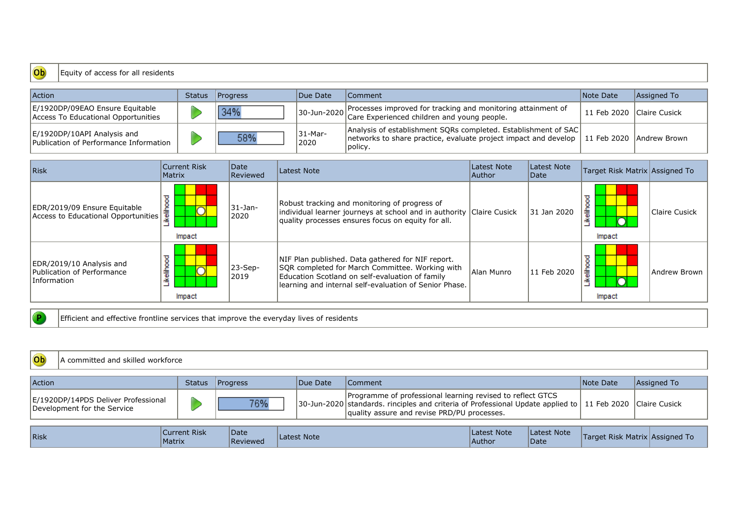## Equity of access for all residents

| <b>Action</b>                                                          | <b>Status</b> | Progress | Due Date        | Comment                                                                                                                                                                   | Note Date                 | Assigned To |
|------------------------------------------------------------------------|---------------|----------|-----------------|---------------------------------------------------------------------------------------------------------------------------------------------------------------------------|---------------------------|-------------|
| E/1920DP/09EAO Ensure Equitable<br>Access To Educational Opportunities |               | 34%      |                 | 30-Jun-2020 Processes improved for tracking and monitoring attainment of 30-Jun-2020 Care Experienced children and young people.                                          | 11 Feb 2020 Claire Cusick |             |
| E/1920DP/10API Analysis and<br>Publication of Performance Information  |               | 58%      | 31-Mar-<br>2020 | Analysis of establishment SQRs completed. Establishment of SAC<br>networks to share practice, evaluate project impact and develop   11 Feb 2020   Andrew Brown<br>policy. |                           |             |

| Risk                                                                  | <b>Current Risk</b><br>Matrix | Date<br>Reviewed   | Latest Note                                                                                                                                                                                                       | Latest Note<br> Author | Latest Note<br> Date | Target Risk Matrix Assigned To |               |
|-----------------------------------------------------------------------|-------------------------------|--------------------|-------------------------------------------------------------------------------------------------------------------------------------------------------------------------------------------------------------------|------------------------|----------------------|--------------------------------|---------------|
| EDR/2019/09 Ensure Equitable<br>Access to Educational Opportunities   | elhood<br>Impact              | 31-Jan-<br>2020    | Robust tracking and monitoring of progress of<br>individual learner journeys at school and in authority<br>quality processes ensures focus on equity for all.                                                     | Claire Cusick          | 31 Jan 2020          | 등<br>Impact                    | Claire Cusick |
| EDR/2019/10 Analysis and<br>Publication of Performance<br>Information | elihood<br>Impact             | $ 23-Sep-$<br>2019 | NIF Plan published. Data gathered for NIF report.<br>SQR completed for March Committee. Working with<br>Education Scotland on self-evaluation of family<br>learning and internal self-evaluation of Senior Phase. | Alan Munro             | 11 Feb 2020          | 흛<br>Impact                    | Andrew Brown  |

Efficient and effective frontline services that improve the everyday lives of residents

| Ob<br>A committed and skilled workforce                            |                        |                   |                                                                                                                                                                                                                        |                |                       |                      |           |                                |
|--------------------------------------------------------------------|------------------------|-------------------|------------------------------------------------------------------------------------------------------------------------------------------------------------------------------------------------------------------------|----------------|-----------------------|----------------------|-----------|--------------------------------|
| <b>Action</b>                                                      |                        | Status   Progress | Due Date                                                                                                                                                                                                               | <b>Comment</b> |                       |                      | Note Date | Assigned To                    |
| E/1920DP/14PDS Deliver Professional<br>Development for the Service |                        | 76%               | Programme of professional learning revised to reflect GTCS<br>30-Jun-2020 standards, rinciples and criteria of Professional Update applied to 11 Feb 2020 Claire Cusick<br>quality assure and revise PRD/PU processes. |                |                       |                      |           |                                |
| Risk                                                               | Current Risk<br>Matrix | Date<br>Reviewed  | Latest Note                                                                                                                                                                                                            |                | Latest Note<br>Author | Latest Note<br>IDate |           | Target Risk Matrix Assigned To |

Ob

 $\bullet$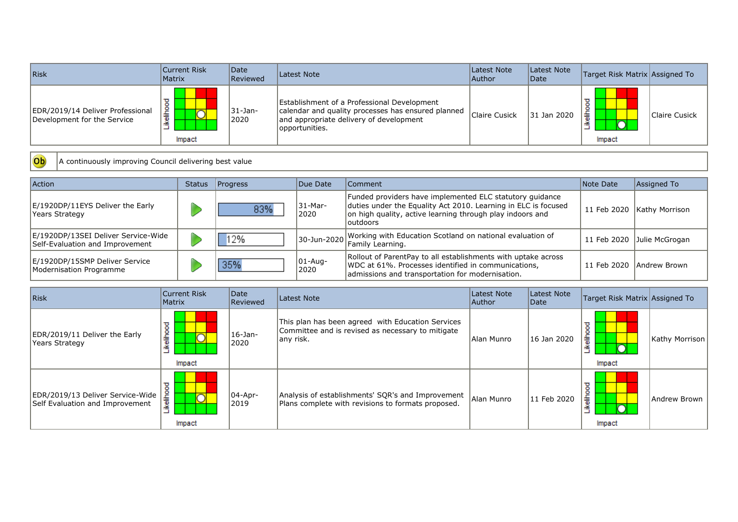| Risk                                                            | Current Risk<br>Matrix | <i><b>Date</b></i><br>Reviewed | Latest Note                                                                                                                                                    | Latest Note<br>Author | Latest Note<br><i><b>IDate</b></i> | Target Risk Matrix Assigned To |               |
|-----------------------------------------------------------------|------------------------|--------------------------------|----------------------------------------------------------------------------------------------------------------------------------------------------------------|-----------------------|------------------------------------|--------------------------------|---------------|
| EDR/2019/14 Deliver Professional<br>Development for the Service | 흛<br>≝<br>Impact       | 31-Jan-<br>2020                | Establishment of a Professional Development<br>calendar and quality processes has ensured planned<br>and appropriate delivery of development<br>opportunities. | Claire Cusick         | 31 Jan 2020                        | ≞<br>Impact                    | Claire Cusick |

Ob A continuously improving Council delivering best value

| <b>Action</b>                                                          | <b>Status</b> | Progress | Due Date              | <b>Comment</b>                                                                                                                                                                                      | Note Date   | Assigned To    |
|------------------------------------------------------------------------|---------------|----------|-----------------------|-----------------------------------------------------------------------------------------------------------------------------------------------------------------------------------------------------|-------------|----------------|
| E/1920DP/11EYS Deliver the Early<br>Years Strategy                     |               | 83%      | 31-Mar-<br>2020       | Funded providers have implemented ELC statutory guidance<br>duties under the Equality Act 2010. Learning in ELC is focused<br>on high quality, active learning through play indoors and<br>outdoors | 11 Feb 2020 | Kathy Morrison |
| E/1920DP/13SEI Deliver Service-Wide<br>Self-Evaluation and Improvement |               | 12%      |                       | $30$ -Jun-2020 Working with Education Scotland on national evaluation of                                                                                                                            | 11 Feb 2020 | Julie McGrogan |
| E/1920DP/15SMP Deliver Service<br>Modernisation Programme              |               | 35%      | $ 01 - Aug -$<br>2020 | Rollout of ParentPay to all establishments with uptake across<br>WDC at 61%. Processes identified in communications,<br>admissions and transportation for modernisation.                            | 11 Feb 2020 | Andrew Brown   |

| <b>Risk</b>                                                         | <b>Current Risk</b><br>Matrix | Date<br>Reviewed     | Latest Note                                                                                                          | Latest Note<br> Author | Latest Note<br>Date | Target Risk Matrix Assigned To |                |
|---------------------------------------------------------------------|-------------------------------|----------------------|----------------------------------------------------------------------------------------------------------------------|------------------------|---------------------|--------------------------------|----------------|
| EDR/2019/11 Deliver the Early<br>Years Strategy                     | ℧<br>۰<br>흛<br>≚<br>Impact    | 16-Jan-<br>2020      | This plan has been agreed with Education Services<br>Committee and is revised as necessary to mitigate<br>lany risk. | Allan Munro            | 16 Jan 2020         | 흛<br>≚<br>Impact               | Kathy Morrison |
| EDR/2019/13 Deliver Service-Wide<br>Self Evaluation and Improvement | ≖<br>ikeliho<br>Impact        | $ 04 - Apr-$<br>2019 | Analysis of establishments' SQR's and Improvement<br>Plans complete with revisions to formats proposed.              | Alan Munro             | 11 Feb 2020         | ikeliho<br>Impact              | Andrew Brown   |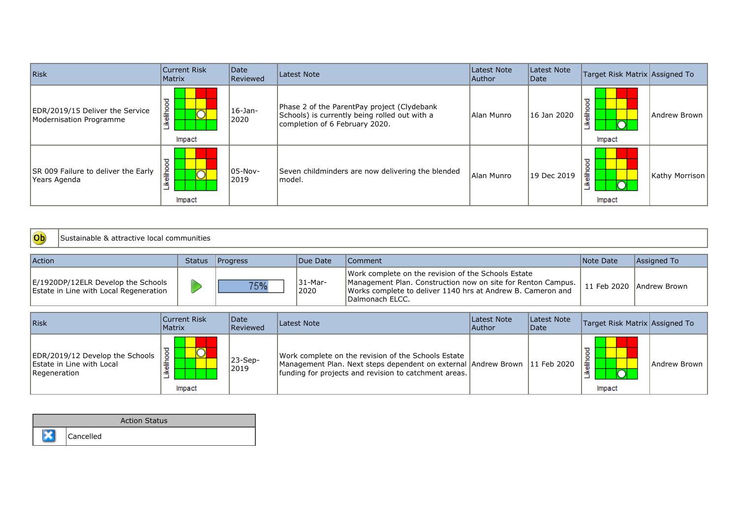| Risk                                                       | Current Risk<br><b>Matrix</b> | Date<br>Reviewed    | Latest Note<br>Latest Note<br>Target Risk Matrix Assigned To<br>Latest Note<br>Author<br>Date                                  |            |             |                       |                |
|------------------------------------------------------------|-------------------------------|---------------------|--------------------------------------------------------------------------------------------------------------------------------|------------|-------------|-----------------------|----------------|
| EDR/2019/15 Deliver the Service<br>Modernisation Programme | ikelihood<br>Impact           | 16-Jan-<br>2020     | Phase 2 of the ParentPay project (Clydebank<br>Schools) is currently being rolled out with a<br>completion of 6 February 2020. | Alan Munro | 16 Jan 2020 | ≖<br>흛<br>≚<br>Impact | Andrew Brown   |
| SR 009 Failure to deliver the Early<br>Years Agenda        | ष्ठ<br>흩<br>≚<br>Impact       | $ 05-Nov -$<br>2019 | Seven childminders are now delivering the blended<br>lmodel.                                                                   | Alan Munro | 19 Dec 2019 | ≖<br>.<br>들<br>Impact | Kathy Morrison |



| <b>Action</b>                                                                | <b>Status</b> | <b>I</b> Progress | Due Date           | Comment                                                                                                                                                                                                 | Note Date | Assigned To              |
|------------------------------------------------------------------------------|---------------|-------------------|--------------------|---------------------------------------------------------------------------------------------------------------------------------------------------------------------------------------------------------|-----------|--------------------------|
| E/1920DP/12ELR Develop the Schools<br>Estate in Line with Local Regeneration |               | 75%               | .31-Mar-<br>່ 2020 | Work complete on the revision of the Schools Estate<br>Management Plan. Construction now on site for Renton Campus.  <br>Works complete to deliver 1140 hrs at Andrew B. Cameron and<br>Dalmonach ELCC. |           | 11 Feb 2020 Andrew Brown |

| Risk                                                                         | Current Risk<br>Matrix | Date<br><b>Reviewed</b> | Latest Note                                                                                                                                                                                | Latest Note<br> Author | Latest Note<br>Date | Target Risk Matrix Assigned To |              |
|------------------------------------------------------------------------------|------------------------|-------------------------|--------------------------------------------------------------------------------------------------------------------------------------------------------------------------------------------|------------------------|---------------------|--------------------------------|--------------|
| EDR/2019/12 Develop the Schools<br>Estate in Line with Local<br>Regeneration | ठ<br>Impact            | 23-Sep-<br>2019         | Work complete on the revision of the Schools Estate<br>Management Plan. Next steps dependent on external Andrew Brown 11 Feb 2020<br>funding for projects and revision to catchment areas. |                        |                     | 嵩<br>Impact                    | Andrew Brown |

| <b>Action Status</b> |                  |  |  |  |
|----------------------|------------------|--|--|--|
|                      | <b>Cancelled</b> |  |  |  |